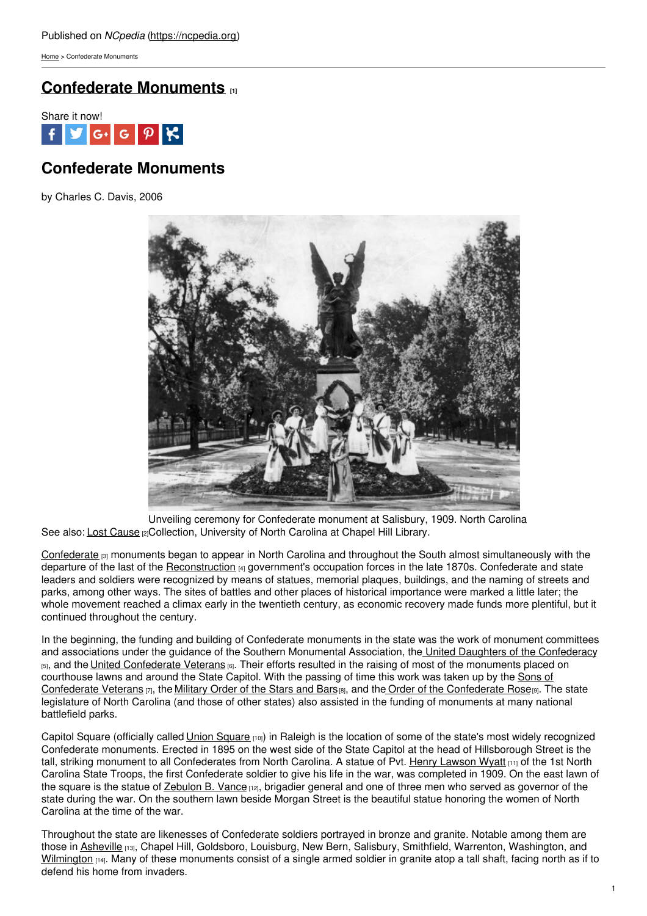[Home](https://ncpedia.org/) > Confederate Monuments

## **[Confederate](https://ncpedia.org/confederate-monuments) Monuments [1]**



## **Confederate Monuments**

by Charles C. Davis, 2006



See also: Lost [Cause](https://ncpedia.org/lost-cause) **[2]Collection, University of North Carolina** at Chapel Hill Library. Unveiling ceremony for Confederate monument at Salisbury, 1909. North Carolina

[Confederate](https://ncpedia.org/confederate-party) <sub>[3]</sub> monuments began to appear in North Carolina and throughout the South almost simultaneously with the departure of the last of the [Reconstruction](https://ncpedia.org/reconstruction) [4] government's occupation forces in the late 1870s. Confederate and state leaders and soldiers were recognized by means of statues, memorial plaques, buildings, and the naming of streets and parks, among other ways. The sites of battles and other places of historical importance were marked a little later; the whole movement reached a climax early in the twentieth century, as economic recovery made funds more plentiful, but it continued throughout the century.

In the beginning, the funding and building of Confederate monuments in the state was the work of monument committees and associations under the guidance of the Southern Monumental Association, the United Daughters of the [Confederacy](http://www.hqudc.org/) [5], and the United [Confederate](http://www.lib.jmu.edu/special/manuscripts/unconvet.aspx) Veterans [6]. Their efforts resulted in the raising of most of the monuments placed on courthouse lawns and around the State Capitol. With the passing of time this work was taken up by the Sons of Confederate Veterans [7], the [Military](http://www.militaryorderofthestarsandbars.org/) Order of the Stars and Bars [8], and the Order of the [Confederate](https://ncpedia.org/sons-confederate-veterans) Rose [9]. The state legislature of North Carolina (and those of other states) also assisted in the funding of monuments at many national battlefield parks.

Capitol [Square](https://ncpedia.org/union-square) (officially called Union Square [10]) in Raleigh is the location of some of the state's most widely recognized Confederate monuments. Erected in 1895 on the west side of the State Capitol at the head of Hillsborough Street is the tall, striking monument to all Confederates from North Carolina. A statue of Pvt. Henry [Lawson](https://ncpedia.org/biography/wyatt-henry-lawson) Wyatt [11] of the 1st North Carolina State Troops, the first Confederate soldier to give his life in the war, was completed in 1909. On the east lawn of the square is the statue of **[Zebulon](https://ncpedia.org/vance-zebulon-baird-research-branch) B. Vance** [12], brigadier general and one of three men who served as governor of the state during the war. On the southern lawn beside Morgan Street is the beautiful statue honoring the women of North Carolina at the time of the war.

Throughout the state are likenesses of Confederate soldiers portrayed in bronze and granite. Notable among them are those in [Asheville](https://ncpedia.org/geography/asheville) [13], Chapel Hill, Goldsboro, Louisburg, New Bern, Salisbury, Smithfield, Warrenton, Washington, and [Wilmington](https://ncpedia.org/geography/wilmington) [14]. Many of these monuments consist of a single armed soldier in granite atop a tall shaft, facing north as if to defend his home from invaders.